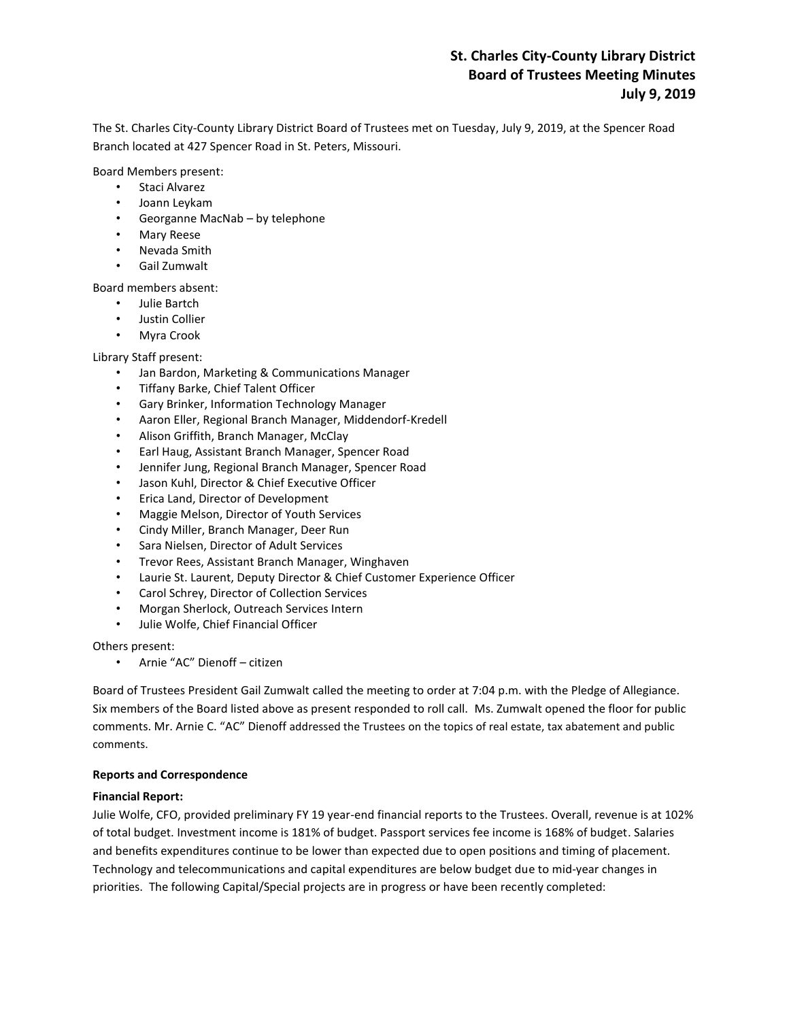# **St. Charles City-County Library District Board of Trustees Meeting Minutes July 9, 2019**

The St. Charles City-County Library District Board of Trustees met on Tuesday, July 9, 2019, at the Spencer Road Branch located at 427 Spencer Road in St. Peters, Missouri.

Board Members present:

- Staci Alvarez
- Joann Leykam
- Georganne MacNab by telephone
- Mary Reese
- Nevada Smith
- Gail Zumwalt

Board members absent:

- Julie Bartch
- Justin Collier
- Myra Crook

#### Library Staff present:

- Jan Bardon, Marketing & Communications Manager
- Tiffany Barke, Chief Talent Officer
- Gary Brinker, Information Technology Manager
- Aaron Eller, Regional Branch Manager, Middendorf-Kredell
- Alison Griffith, Branch Manager, McClay
- Earl Haug, Assistant Branch Manager, Spencer Road
- Jennifer Jung, Regional Branch Manager, Spencer Road
- Jason Kuhl, Director & Chief Executive Officer
- Erica Land, Director of Development
- Maggie Melson, Director of Youth Services
- Cindy Miller, Branch Manager, Deer Run
- Sara Nielsen, Director of Adult Services
- Trevor Rees, Assistant Branch Manager, Winghaven
- Laurie St. Laurent, Deputy Director & Chief Customer Experience Officer
- Carol Schrey, Director of Collection Services
- Morgan Sherlock, Outreach Services Intern
- Julie Wolfe, Chief Financial Officer

Others present:

• Arnie "AC" Dienoff – citizen

Board of Trustees President Gail Zumwalt called the meeting to order at 7:04 p.m. with the Pledge of Allegiance. Six members of the Board listed above as present responded to roll call. Ms. Zumwalt opened the floor for public comments. Mr. Arnie C. "AC" Dienoff addressed the Trustees on the topics of real estate, tax abatement and public comments.

#### **Reports and Correspondence**

#### **Financial Report:**

Julie Wolfe, CFO, provided preliminary FY 19 year-end financial reports to the Trustees. Overall, revenue is at 102% of total budget. Investment income is 181% of budget. Passport services fee income is 168% of budget. Salaries and benefits expenditures continue to be lower than expected due to open positions and timing of placement. Technology and telecommunications and capital expenditures are below budget due to mid-year changes in priorities. The following Capital/Special projects are in progress or have been recently completed: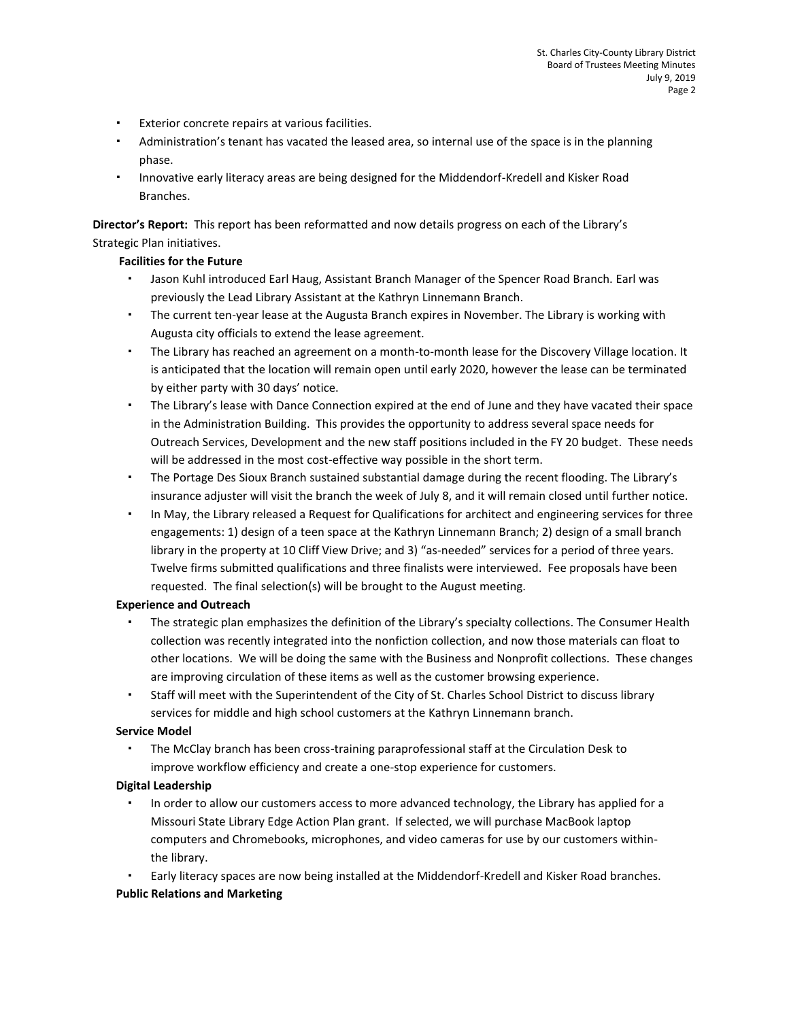- Exterior concrete repairs at various facilities.
- Administration's tenant has vacated the leased area, so internal use of the space is in the planning phase.
- Innovative early literacy areas are being designed for the Middendorf-Kredell and Kisker Road Branches.

**Director's Report:** This report has been reformatted and now details progress on each of the Library's Strategic Plan initiatives.

## **Facilities for the Future**

- Jason Kuhl introduced Earl Haug, Assistant Branch Manager of the Spencer Road Branch. Earl was previously the Lead Library Assistant at the Kathryn Linnemann Branch.
- The current ten-year lease at the Augusta Branch expires in November. The Library is working with Augusta city officials to extend the lease agreement.
- The Library has reached an agreement on a month-to-month lease for the Discovery Village location. It is anticipated that the location will remain open until early 2020, however the lease can be terminated by either party with 30 days' notice.
- The Library's lease with Dance Connection expired at the end of June and they have vacated their space in the Administration Building. This provides the opportunity to address several space needs for Outreach Services, Development and the new staff positions included in the FY 20 budget. These needs will be addressed in the most cost-effective way possible in the short term.
- The Portage Des Sioux Branch sustained substantial damage during the recent flooding. The Library's insurance adjuster will visit the branch the week of July 8, and it will remain closed until further notice.
- In May, the Library released a Request for Qualifications for architect and engineering services for three engagements: 1) design of a teen space at the Kathryn Linnemann Branch; 2) design of a small branch library in the property at 10 Cliff View Drive; and 3) "as-needed" services for a period of three years. Twelve firms submitted qualifications and three finalists were interviewed. Fee proposals have been requested. The final selection(s) will be brought to the August meeting.

#### **Experience and Outreach**

- The strategic plan emphasizes the definition of the Library's specialty collections. The Consumer Health collection was recently integrated into the nonfiction collection, and now those materials can float to other locations. We will be doing the same with the Business and Nonprofit collections. These changes are improving circulation of these items as well as the customer browsing experience.
- Staff will meet with the Superintendent of the City of St. Charles School District to discuss library services for middle and high school customers at the Kathryn Linnemann branch.

## **Service Model**

 The McClay branch has been cross-training paraprofessional staff at the Circulation Desk to improve workflow efficiency and create a one-stop experience for customers.

#### **Digital Leadership**

 In order to allow our customers access to more advanced technology, the Library has applied for a Missouri State Library Edge Action Plan grant. If selected, we will purchase MacBook laptop computers and Chromebooks, microphones, and video cameras for use by our customers withinthe library.

Early literacy spaces are now being installed at the Middendorf-Kredell and Kisker Road branches.

## **Public Relations and Marketing**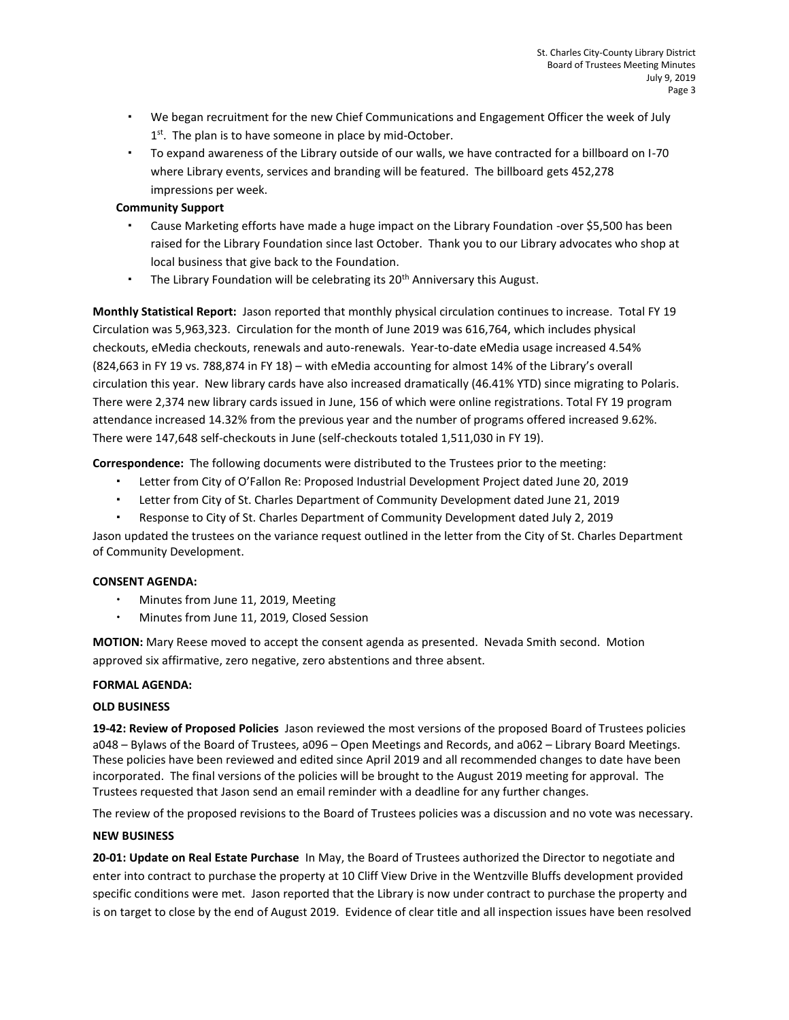- We began recruitment for the new Chief Communications and Engagement Officer the week of July 1<sup>st</sup>. The plan is to have someone in place by mid-October.
- To expand awareness of the Library outside of our walls, we have contracted for a billboard on I-70 where Library events, services and branding will be featured. The billboard gets 452,278 impressions per week.

### **Community Support**

- Cause Marketing efforts have made a huge impact on the Library Foundation -over \$5,500 has been raised for the Library Foundation since last October. Thank you to our Library advocates who shop at local business that give back to the Foundation.
- The Library Foundation will be celebrating its  $20<sup>th</sup>$  Anniversary this August.

**Monthly Statistical Report:** Jason reported that monthly physical circulation continues to increase. Total FY 19 Circulation was 5,963,323. Circulation for the month of June 2019 was 616,764, which includes physical checkouts, eMedia checkouts, renewals and auto-renewals. Year-to-date eMedia usage increased 4.54% (824,663 in FY 19 vs. 788,874 in FY 18) – with eMedia accounting for almost 14% of the Library's overall circulation this year. New library cards have also increased dramatically (46.41% YTD) since migrating to Polaris. There were 2,374 new library cards issued in June, 156 of which were online registrations. Total FY 19 program attendance increased 14.32% from the previous year and the number of programs offered increased 9.62%. There were 147,648 self-checkouts in June (self-checkouts totaled 1,511,030 in FY 19).

**Correspondence:** The following documents were distributed to the Trustees prior to the meeting:

- Letter from City of O'Fallon Re: Proposed Industrial Development Project dated June 20, 2019
- Letter from City of St. Charles Department of Community Development dated June 21, 2019
- Response to City of St. Charles Department of Community Development dated July 2, 2019

Jason updated the trustees on the variance request outlined in the letter from the City of St. Charles Department of Community Development.

#### **CONSENT AGENDA:**

- Minutes from June 11, 2019, Meeting
- Minutes from June 11, 2019, Closed Session

**MOTION:** Mary Reese moved to accept the consent agenda as presented. Nevada Smith second. Motion approved six affirmative, zero negative, zero abstentions and three absent.

#### **FORMAL AGENDA:**

#### **OLD BUSINESS**

**19-42: Review of Proposed Policies** Jason reviewed the most versions of the proposed Board of Trustees policies a048 – Bylaws of the Board of Trustees, a096 – Open Meetings and Records, and a062 – Library Board Meetings. These policies have been reviewed and edited since April 2019 and all recommended changes to date have been incorporated. The final versions of the policies will be brought to the August 2019 meeting for approval. The Trustees requested that Jason send an email reminder with a deadline for any further changes.

The review of the proposed revisions to the Board of Trustees policies was a discussion and no vote was necessary.

#### **NEW BUSINESS**

**20-01: Update on Real Estate Purchase** In May, the Board of Trustees authorized the Director to negotiate and enter into contract to purchase the property at 10 Cliff View Drive in the Wentzville Bluffs development provided specific conditions were met. Jason reported that the Library is now under contract to purchase the property and is on target to close by the end of August 2019. Evidence of clear title and all inspection issues have been resolved